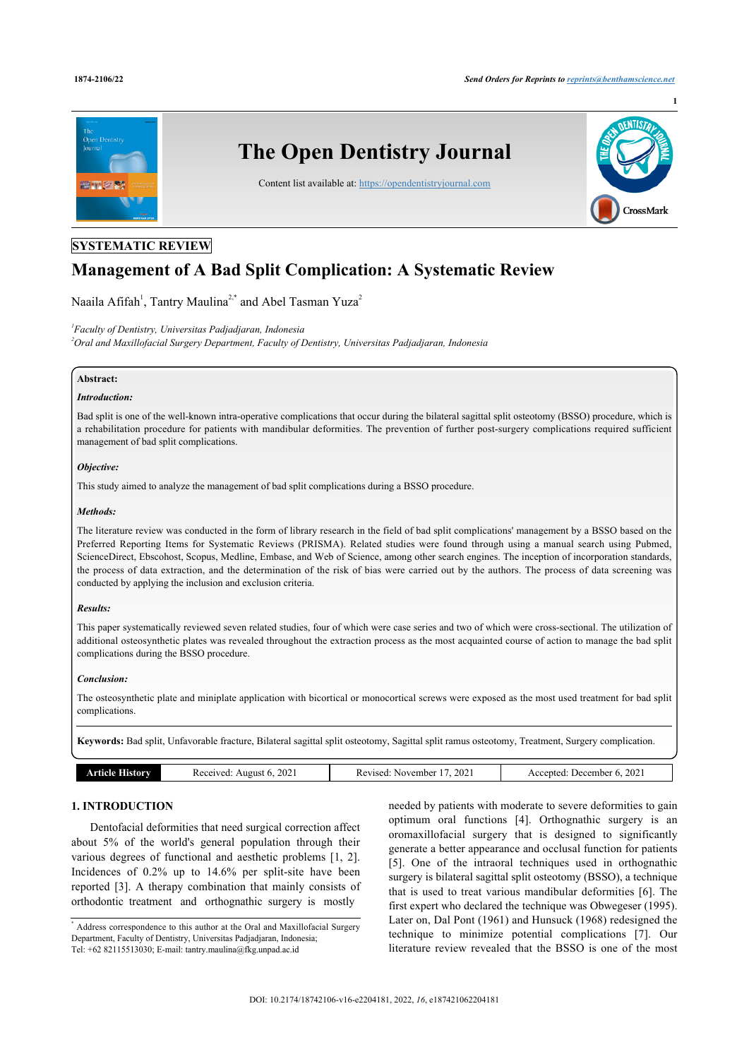**1**



## **SYSTEMATIC REVIEW**

# **Management of A Bad Split Complication: A Systematic Review**

Naaila Afifah<sup>[1](#page-0-0)</sup>, Tantry Maulina<sup>[2](#page-0-1),[\\*](#page--1-0)</sup> and Abel Tasman Yuza<sup>2</sup>

<span id="page-0-1"></span><span id="page-0-0"></span>*1 Faculty of Dentistry, Universitas Padjadjaran, Indonesia <sup>2</sup>Oral and Maxillofacial Surgery Department, Faculty of Dentistry, Universitas Padjadjaran, Indonesia*

### **Abstract:**

#### *Introduction:*

Bad split is one of the well-known intra-operative complications that occur during the bilateral sagittal split osteotomy (BSSO) procedure, which is a rehabilitation procedure for patients with mandibular deformities. The prevention of further post-surgery complications required sufficient management of bad split complications.

#### *Objective:*

This study aimed to analyze the management of bad split complications during a BSSO procedure.

#### *Methods:*

The literature review was conducted in the form of library research in the field of bad split complications' management by a BSSO based on the Preferred Reporting Items for Systematic Reviews (PRISMA). Related studies were found through using a manual search using Pubmed, ScienceDirect, Ebscohost, Scopus, Medline, Embase, and Web of Science, among other search engines. The inception of incorporation standards, the process of data extraction, and the determination of the risk of bias were carried out by the authors. The process of data screening was conducted by applying the inclusion and exclusion criteria.

#### *Results:*

This paper systematically reviewed seven related studies, four of which were case series and two of which were cross-sectional. The utilization of additional osteosynthetic plates was revealed throughout the extraction process as the most acquainted course of action to manage the bad split complications during the BSSO procedure.

#### *Conclusion:*

The osteosynthetic plate and miniplate application with bicortical or monocortical screws were exposed as the most used treatment for bad split complications.

**Keywords:** Bad split, Unfavorable fracture, Bilateral sagittal split osteotomy, Sagittal split ramus osteotomy, Treatment, Surgery complication.

| 2021<br>2021<br>2021<br>Article Historv<br>Received: |
|------------------------------------------------------|
|------------------------------------------------------|

### **1. INTRODUCTION**

Dentofacial deformities that need surgical correction affect about 5% of the world's general population through their various degrees of functional and aesthetic problems[[1](#page-6-0), [2\]](#page-6-1). Incidences of 0.2% up to 14.6% per split-site have been reported [\[3\]](#page-6-2). A therapy combination that mainly consists of orthodontic treatment and orthognathic surgery is mostly

\* Address correspondence to this author at the Oral and Maxillofacial Surgery Department, Faculty of Dentistry, Universitas Padjadjaran, Indonesia; Tel: +62 82115513030; E-mail: [tantry.maulina@fkg.unpad.ac.id](mailto:tantry.maulina@fkg.unpad.ac.id)

needed by patients with moderate to severe deformities to gain optimum oral functions[[4](#page-6-3)]. Orthognathic surgery is an oromaxillofacial surgery that is designed to significantly generate a better appearance and occlusal function for patients [[5\]](#page-6-4). One of the intraoral techniques used in orthognathic surgery is bilateral sagittal split osteotomy (BSSO), a technique that is used to treat various mandibular deformities [[6\]](#page-6-5). The first expert who declared the technique was Obwegeser (1995). Later on, Dal Pont (1961) and Hunsuck (1968) redesigned the technique to minimize potential complications[[7](#page-6-6)]. Our literature review revealed that the BSSO is one of the most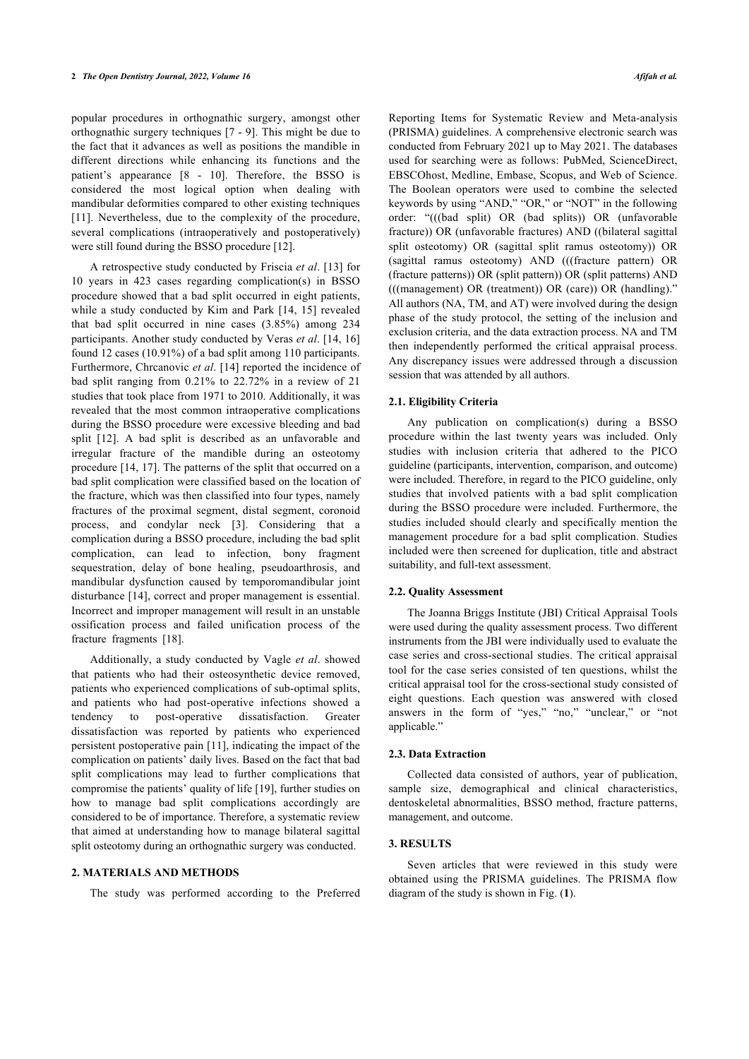popular procedures in orthognathic surgery, amongst other orthognathic surgery techniques [[7](#page-6-6) - [9\]](#page-6-7). This might be due to the fact that it advances as well as positions the mandible in different directions while enhancing its functions and the patient's appearance[[8](#page-6-8) - [10\]](#page-6-9). Therefore, the BSSO is considered the most logical option when dealing with mandibular deformities compared to other existing techniques [[11\]](#page-6-10). Nevertheless, due to the complexity of the procedure, several complications (intraoperatively and postoperatively) were still found during the BSSO procedure [\[12](#page-6-11)].

A retrospective study conducted by Friscia *et al*. [\[13\]](#page-6-12) for 10 years in 423 cases regarding complication(s) in BSSO procedure showed that a bad split occurred in eight patients, while a study conducted by Kim and Park [[14,](#page-6-13) [15\]](#page-6-14) revealed that bad split occurred in nine cases (3.85%) among 234 participants. Another study conducted by Veras *et al*. [[14](#page-6-13), [16](#page-6-15)] found 12 cases (10.91%) of a bad split among 110 participants. Furthermore, Chrcanovic *et al*. [[14](#page-6-13)] reported the incidence of bad split ranging from 0.21% to 22.72% in a review of 21 studies that took place from 1971 to 2010. Additionally, it was revealed that the most common intraoperative complications during the BSSO procedure were excessive bleeding and bad split [\[12](#page-6-11)]. A bad split is described as an unfavorable and irregular fracture of the mandible during an osteotomy procedure [[14,](#page-6-13) [17\]](#page-6-16). The patterns of the split that occurred on a bad split complication were classified based on the location of the fracture, which was then classified into four types, namely fractures of the proximal segment, distal segment, coronoid process, and condylar neck [\[3\]](#page-6-2). Considering that a complication during a BSSO procedure, including the bad split complication, can lead to infection, bony fragment sequestration, delay of bone healing, pseudoarthrosis, and mandibular dysfunction caused by temporomandibular joint disturbance [[14](#page-6-13)], correct and proper management is essential. Incorrect and improper management will result in an unstable ossification process and failed unification process of the fracture fragments [\[18](#page-6-17)].

Additionally, a study conducted by Vagle *et al*. showed that patients who had their osteosynthetic device removed, patients who experienced complications of sub-optimal splits, and patients who had post-operative infections showed a tendency to post-operative dissatisfaction. Greater dissatisfaction was reported by patients who experienced persistent postoperative pain [[11\]](#page-6-10), indicating the impact of the complication on patients' daily lives. Based on the fact that bad split complications may lead to further complications that compromise the patients' quality of life [[19\]](#page-6-18), further studies on how to manage bad split complications accordingly are considered to be of importance. Therefore, a systematic review that aimed at understanding how to manage bilateral sagittal split osteotomy during an orthognathic surgery was conducted.

### <span id="page-1-0"></span>**2. MATERIALS AND METHODS**

The study was performed according to the Preferred

Reporting Items for Systematic Review and Meta-analysis (PRISMA) guidelines. A comprehensive electronic search was conducted from February 2021 up to May 2021. The databases used for searching were as follows: PubMed, ScienceDirect, EBSCOhost, Medline, Embase, Scopus, and Web of Science. The Boolean operators were used to combine the selected keywords by using "AND," "OR," or "NOT" in the following order: "(((bad split) OR (bad splits)) OR (unfavorable fracture)) OR (unfavorable fractures) AND ((bilateral sagittal split osteotomy) OR (sagittal split ramus osteotomy)) OR (sagittal ramus osteotomy) AND (((fracture pattern) OR (fracture patterns)) OR (split pattern)) OR (split patterns) AND (((management) OR (treatment)) OR (care)) OR (handling)." All authors (NA, TM, and AT) were involved during the design phase of the study protocol, the setting of the inclusion and exclusion criteria, and the data extraction process. NA and TM then independently performed the critical appraisal process. Any discrepancy issues were addressed through a discussion session that was attended by all authors.

#### **2.1. Eligibility Criteria**

Any publication on complication(s) during a BSSO procedure within the last twenty years was included. Only studies with inclusion criteria that adhered to the PICO guideline (participants, intervention, comparison, and outcome) were included. Therefore, in regard to the PICO guideline, only studies that involved patients with a bad split complication during the BSSO procedure were included. Furthermore, the studies included should clearly and specifically mention the management procedure for a bad split complication. Studies included were then screened for duplication, title and abstract suitability, and full-text assessment.

#### **2.2. Quality Assessment**

The Joanna Briggs Institute (JBI) Critical Appraisal Tools were used during the quality assessment process. Two different instruments from the JBI were individually used to evaluate the case series and cross-sectional studies. The critical appraisal tool for the case series consisted of ten questions, whilst the critical appraisal tool for the cross-sectional study consisted of eight questions. Each question was answered with closed answers in the form of "yes," "no," "unclear," or "not applicable."

#### **2.3. Data Extraction**

Collected data consisted of authors, year of publication, sample size, demographical and clinical characteristics, dentoskeletal abnormalities, BSSO method, fracture patterns, management, and outcome.

### **3. RESULTS**

Seven articles that were reviewed in this study were obtained using the PRISMA guidelines. The PRISMA flow diagram of the study is shown in Fig. (**[1](#page-1-0)**).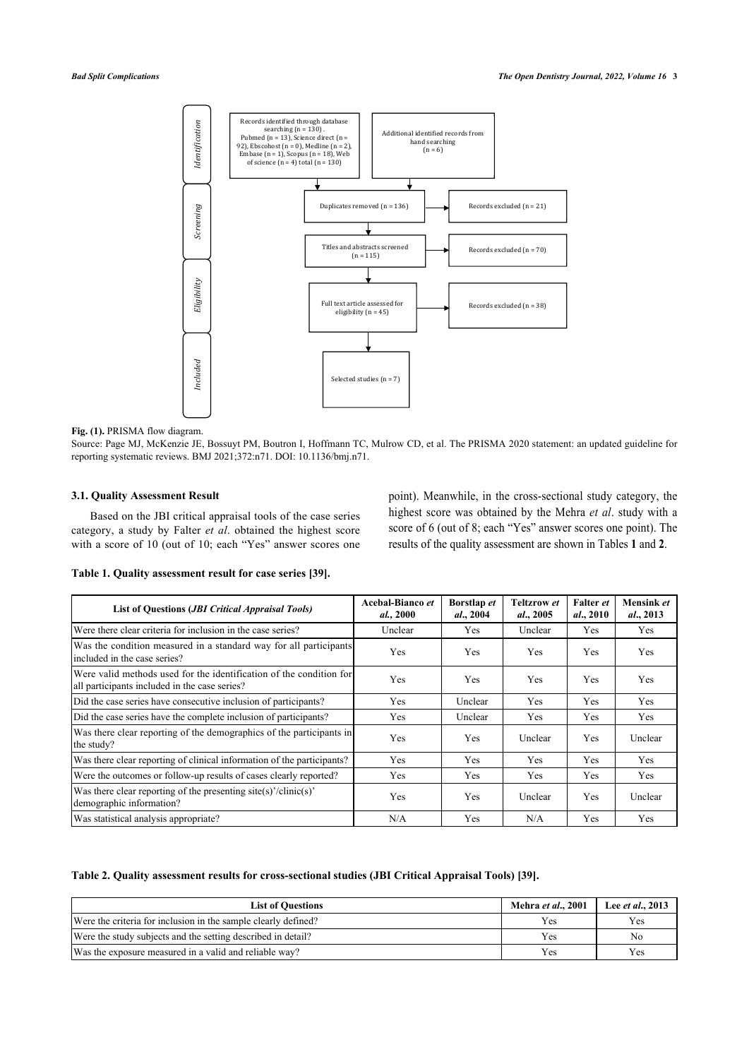

### Fig. (1). PRISMA flow diagram.

Source: Page MJ, McKenzie JE, Bossuyt PM, Boutron I, Hoffmann TC, Mulrow CD, et al. The PRISMA 2020 statement: an updated guideline for reporting systematic reviews. BMJ 2021;372:n71. DOI: 10.1136/bmj.n71.

### **3.1. Quality Assessment Result**

Based on the JBI critical appraisal tools of the case series category, a study by Falter *et al*. obtained the highest score with a score of 10 (out of 10; each "Yes" answer scores one point). Meanwhile, in the cross-sectional study category, the highest score was obtained by the Mehra *et al*. study with a score of 6 (out of 8; each "Yes" answer scores one point). The results of the quality assessment are shown in Tables **[1](#page-2-0)** and **[2](#page-2-1)**.

<span id="page-2-0"></span>**Table 1. Quality assessment result for case series [\[39](#page-7-0)].**

| <b>List of Questions (JBI Critical Appraisal Tools)</b>                                                              | Acebal-Bianco et<br>al., 2000 | Borstlap et<br>al., 2004 | <b>Teltzrow</b> et<br><i>al.,</i> 2005 | Falter et<br>al., 2010 | Mensink et<br>al., 2013 |
|----------------------------------------------------------------------------------------------------------------------|-------------------------------|--------------------------|----------------------------------------|------------------------|-------------------------|
| Were there clear criteria for inclusion in the case series?                                                          | Unclear                       | <b>Yes</b>               | Unclear                                | Yes                    | Yes                     |
| Was the condition measured in a standard way for all participants<br>included in the case series?                    | Yes                           | Yes                      | Yes                                    | Yes                    | Yes                     |
| Were valid methods used for the identification of the condition for<br>all participants included in the case series? | <b>Yes</b>                    | Yes                      | <b>Yes</b>                             | <b>Yes</b>             | Yes                     |
| Did the case series have consecutive inclusion of participants?                                                      | Yes                           | Unclear                  | Yes                                    | Yes                    | Yes                     |
| Did the case series have the complete inclusion of participants?                                                     | Yes                           | Unclear                  | Yes                                    | Yes                    | Yes                     |
| Was there clear reporting of the demographics of the participants in<br>the study?                                   | Yes                           | Yes                      | Unclear                                | Yes                    | Unclear                 |
| Was there clear reporting of clinical information of the participants?                                               | Yes                           | Yes                      | Yes                                    | Yes                    | Yes                     |
| Were the outcomes or follow-up results of cases clearly reported?                                                    | Yes                           | Yes                      | Yes                                    | Yes                    | Yes                     |
| Was there clear reporting of the presenting site(s)'/clinic(s)'<br>demographic information?                          | Yes                           | Yes                      | Unclear                                | Yes                    | Unclear                 |
| Was statistical analysis appropriate?                                                                                | N/A                           | Yes                      | N/A                                    | Yes                    | Yes                     |

<span id="page-2-1"></span>**Table 2. Quality assessment results for cross-sectional studies (JBI Critical Appraisal Tools) [\[39](#page-7-0)].**

| <b>List of Questions</b>                                       | Mehra et al., 2001 | Lee <i>et al.</i> , 2013 |
|----------------------------------------------------------------|--------------------|--------------------------|
| Were the criteria for inclusion in the sample clearly defined? | Yes                | Yes                      |
| Were the study subjects and the setting described in detail?   | Yes                | No                       |
| Was the exposure measured in a valid and reliable way?         | Yes                | Yes                      |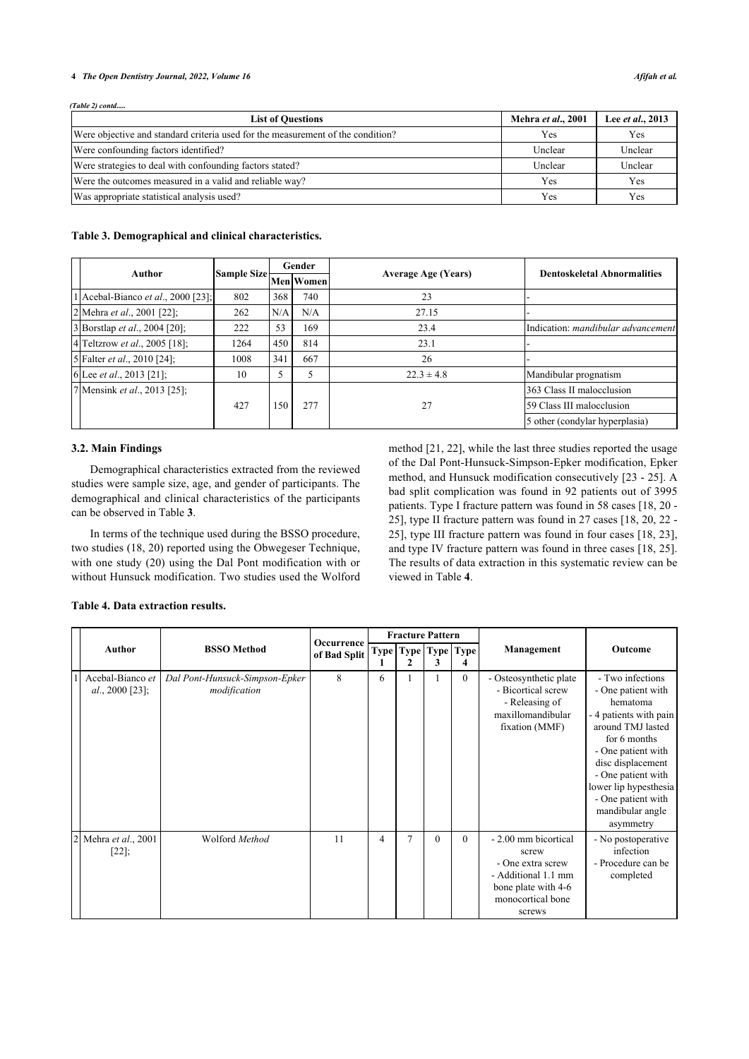#### **4** *The Open Dentistry Journal, 2022, Volume 16 Afifah et al.*

*(Table 2) contd.....*

| <b>List of Questions</b>                                                        | Mehra et al., 2001 | Lee et al., 2013 |
|---------------------------------------------------------------------------------|--------------------|------------------|
| Were objective and standard criteria used for the measurement of the condition? | <b>Yes</b>         | Yes              |
| Were confounding factors identified?                                            | Unclear            | Unclear          |
| Were strategies to deal with confounding factors stated?                        | Unclear            | Unclear          |
| Were the outcomes measured in a valid and reliable way?                         | Yes                | Yes              |
| Was appropriate statistical analysis used?                                      | Yes                | Yes              |

#### <span id="page-3-0"></span>**Table 3. Demographical and clinical characteristics.**

| Author                                | Sample Size- | Gender |                  |                            | <b>Dentoskeletal Abnormalities</b>        |  |  |
|---------------------------------------|--------------|--------|------------------|----------------------------|-------------------------------------------|--|--|
|                                       |              |        | <b>Men</b> Women | <b>Average Age (Years)</b> |                                           |  |  |
| 1 Acebal-Bianco et al., 2000 [23];    | 802          | 368    | 740              | 23                         |                                           |  |  |
| 2 Mehra <i>et al.</i> , 2001 [22];    | 262          | N/A    | N/A              | 27.15                      |                                           |  |  |
| 3 Borstlap <i>et al.</i> , 2004 [20]; | 222          | 53     | 169              | 23.4                       | Indication: <i>mandibular advancement</i> |  |  |
| 4 Teltzrow <i>et al.</i> , 2005 [18]; | 1264         | 450    | 814              | 23.1                       |                                           |  |  |
| 5 Falter <i>et al.</i> , 2010 [24];   | 1008         | 341    | 667              | 26                         |                                           |  |  |
| 6 Lee <i>et al.</i> , 2013 [21];      | 10           |        |                  | $22.3 \pm 4.8$             | Mandibular prognatism                     |  |  |
| 7 Mensink <i>et al.</i> , 2013 [25];  |              |        |                  |                            | 363 Class II malocclusion                 |  |  |
|                                       | 427          | 150    | 277              | 27                         | 59 Class III malocclusion                 |  |  |
|                                       |              |        |                  |                            | 5 other (condylar hyperplasia)            |  |  |

### **3.2. Main Findings**

Demographical characteristics extracted from the reviewed studies were sample size, age, and gender of participants. The demographical and clinical characteristics of the participants can be observed in Table **[3](#page-3-0)**.

In terms of the technique used during the BSSO procedure, two studies (18, 20) reported using the Obwegeser Technique, with one study (20) using the Dal Pont modification with or without Hunsuck modification. Two studies used the Wolford method [[21,](#page-6-23) [22\]](#page-6-20), while the last three studies reported the usage of the Dal Pont-Hunsuck-Simpson-Epker modification, Epker method, and Hunsuck modification consecutively [[23](#page-6-19) - [25](#page-6-24)]. A bad split complication was found in 92 patients out of 3995 patients. Type I fracture pattern was found in 58 cases [[18,](#page-6-17) [20](#page-6-21) - [25](#page-6-24)], type II fracture pattern was found in 27 cases [[18,](#page-6-17) [20](#page-6-21), [22](#page-6-20) - [25](#page-6-24)], type III fracture pattern was found in four cases [[18](#page-6-17), [23](#page-6-19)], and type IV fracture pattern was found in three cases [\[18](#page-6-17), [25](#page-6-24)]. The results of data extraction in this systematic review can be viewed in Table **[4](#page-3-1)**.

### <span id="page-3-1"></span>**Table 4. Data extraction results.**

|  | Author                              |                                                | Occurrence<br>of Bad Split |   |        | <b>Fracture Pattern</b>        |          |                                                                                                                                 |                                                                                                                                                                                                                                                                    |
|--|-------------------------------------|------------------------------------------------|----------------------------|---|--------|--------------------------------|----------|---------------------------------------------------------------------------------------------------------------------------------|--------------------------------------------------------------------------------------------------------------------------------------------------------------------------------------------------------------------------------------------------------------------|
|  |                                     | <b>BSSO</b> Method                             |                            |   |        | Type   Type   Type   Type<br>3 |          | Management                                                                                                                      | Outcome                                                                                                                                                                                                                                                            |
|  | Acebal-Bianco et<br>al., 2000 [23]; | Dal Pont-Hunsuck-Simpson-Epker<br>modification | 8                          | 6 |        |                                | $\theta$ | - Osteosynthetic plate<br>- Bicortical screw<br>- Releasing of<br>maxillomandibular<br>fixation (MMF)                           | - Two infections<br>- One patient with<br>hematoma<br>- 4 patients with pain<br>around TMJ lasted<br>for 6 months<br>- One patient with<br>disc displacement<br>- One patient with<br>lower lip hypesthesia<br>- One patient with<br>mandibular angle<br>asymmetry |
|  | Mehra et al., 2001<br>$[22]$ ;      | Wolford Method                                 | 11                         | 4 | $\tau$ | $\theta$                       | $\Omega$ | - 2.00 mm bicortical<br>screw<br>- One extra screw<br>- Additional 1.1 mm<br>bone plate with 4-6<br>monocortical bone<br>screws | - No postoperative<br>infection<br>- Procedure can be<br>completed                                                                                                                                                                                                 |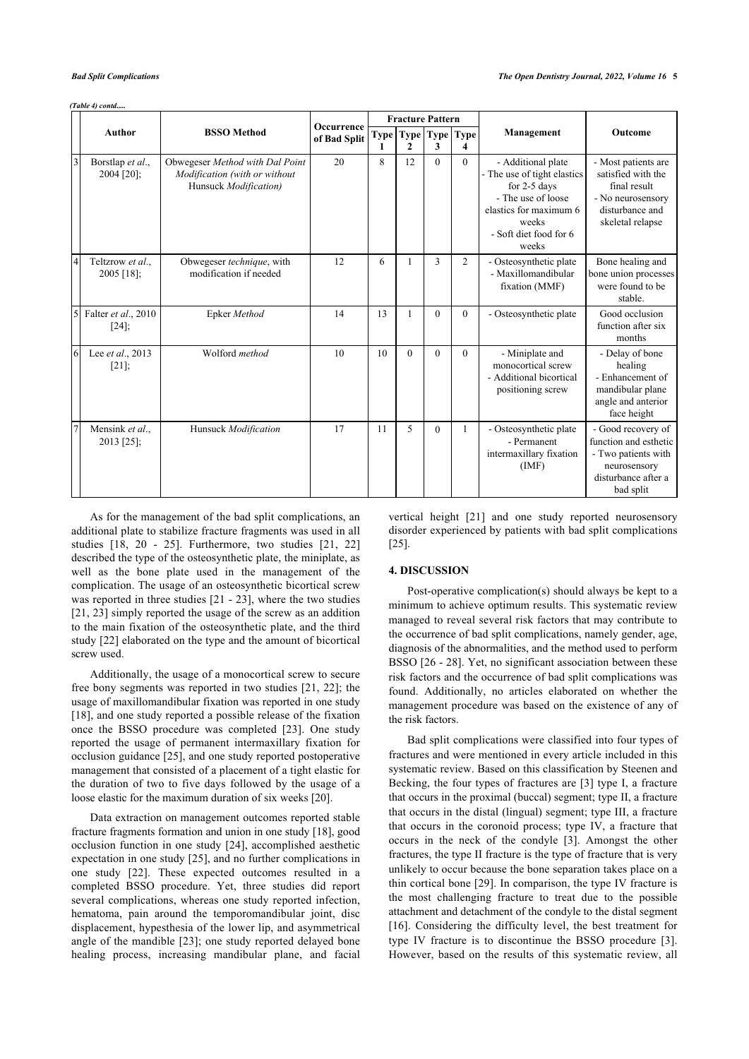*(Table 4) contd.....*

|           |                                  |                                                                                           | Occurrence   |                   |          | <b>Fracture Pattern</b> |                |                                                                                                                                                                 |                                                                                                                        |
|-----------|----------------------------------|-------------------------------------------------------------------------------------------|--------------|-------------------|----------|-------------------------|----------------|-----------------------------------------------------------------------------------------------------------------------------------------------------------------|------------------------------------------------------------------------------------------------------------------------|
|           | <b>Author</b>                    | <b>BSSO</b> Method                                                                        | of Bad Split | Type <sup> </sup> | 2        | Type   Type   Type<br>3 | 4              | Management                                                                                                                                                      | <b>Outcome</b>                                                                                                         |
| $\vert$ 3 | Borstlap et al.,<br>$2004$ [20]; | Obwegeser Method with Dal Point<br>Modification (with or without<br>Hunsuck Modification) | 20           | 8                 | 12       | $\theta$                | $\theta$       | - Additional plate<br>- The use of tight elastics<br>for $2-5$ days<br>- The use of loose<br>elastics for maximum 6<br>weeks<br>- Soft diet food for 6<br>weeks | - Most patients are<br>satisfied with the<br>final result<br>- No neurosensory<br>disturbance and<br>skeletal relapse  |
| 4         | Teltzrow et al.,<br>$2005$ [18]; | Obwegeser technique, with<br>modification if needed                                       | 12           | 6                 |          | 3                       | $\overline{2}$ | - Osteosynthetic plate<br>- Maxillomandibular<br>fixation (MMF)                                                                                                 | Bone healing and<br>bone union processes<br>were found to be<br>stable.                                                |
| 5         | Falter et al., 2010<br>$[24]$ ;  | Epker Method                                                                              | 14           | 13                | 1        | $\theta$                | $\Omega$       | - Osteosynthetic plate                                                                                                                                          | Good occlusion<br>function after six<br>months                                                                         |
| 6         | Lee et al., 2013<br>$[21]$ ;     | Wolford method                                                                            | 10           | 10                | $\theta$ | $\Omega$                | $\Omega$       | - Miniplate and<br>monocortical screw<br>- Additional bicortical<br>positioning screw                                                                           | - Delay of bone<br>healing<br>- Enhancement of<br>mandibular plane<br>angle and anterior<br>face height                |
|           | Mensink et al.,<br>2013 [25];    | Hunsuck Modification                                                                      | 17           | 11                | 5        | $\theta$                |                | - Osteosynthetic plate<br>- Permanent<br>intermaxillary fixation<br>(IMF)                                                                                       | - Good recovery of<br>function and esthetic<br>- Two patients with<br>neurosensory<br>disturbance after a<br>bad split |

As for the management of the bad split complications, an additional plate to stabilize fracture fragments was used in all studies[[18,](#page-6-17) [20](#page-6-21) - [25\]](#page-6-24). Furthermore, two studies [\[21](#page-6-23), [22](#page-6-20)] described the type of the osteosynthetic plate, the miniplate, as well as the bone plate used in the management of the complication. The usage of an osteosynthetic bicortical screw was reported in three studies [[21](#page-6-23) - [23\]](#page-6-19), where the two studies [[21,](#page-6-23) [23](#page-6-19)] simply reported the usage of the screw as an addition to the main fixation of the osteosynthetic plate, and the third study [\[22](#page-6-20)] elaborated on the type and the amount of bicortical screw used.

Additionally, the usage of a monocortical screw to secure free bony segments was reported in two studies [[21,](#page-6-23) [22](#page-6-20)]; the usage of maxillomandibular fixation was reported in one study [[18\]](#page-6-17), and one study reported a possible release of the fixation once the BSSO procedure was completed[[23\]](#page-6-19). One study reported the usage of permanent intermaxillary fixation for occlusion guidance [[25](#page-6-24)], and one study reported postoperative management that consisted of a placement of a tight elastic for the duration of two to five days followed by the usage of a loose elastic for the maximum duration of six weeks [\[20](#page-6-21)].

Data extraction on management outcomes reported stable fracture fragments formation and union in one study [[18\]](#page-6-17), good occlusion function in one study [\[24\]](#page-6-22), accomplished aesthetic expectation in one study [[25\]](#page-6-24), and no further complications in one study[[22](#page-6-20)]. These expected outcomes resulted in a completed BSSO procedure. Yet, three studies did report several complications, whereas one study reported infection, hematoma, pain around the temporomandibular joint, disc displacement, hypesthesia of the lower lip, and asymmetrical angle of the mandible [\[23\]](#page-6-19); one study reported delayed bone healing process, increasing mandibular plane, and facial vertical height [\[21\]](#page-6-23) and one study reported neurosensory disorder experienced by patients with bad split complications [[25\]](#page-6-24).

### **4. DISCUSSION**

Post-operative complication(s) should always be kept to a minimum to achieve optimum results. This systematic review managed to reveal several risk factors that may contribute to the occurrence of bad split complications, namely gender, age, diagnosis of the abnormalities, and the method used to perform BSSO [\[26](#page-6-25) - [28\]](#page-6-26). Yet, no significant association between these risk factors and the occurrence of bad split complications was found. Additionally, no articles elaborated on whether the management procedure was based on the existence of any of the risk factors.

Bad split complications were classified into four types of fractures and were mentioned in every article included in this systematic review. Based on this classification by Steenen and Becking, the four types of fractures are [\[3\]](#page-6-2) type I, a fracture that occurs in the proximal (buccal) segment; type II, a fracture that occurs in the distal (lingual) segment; type III, a fracture that occurs in the coronoid process; type IV, a fracture that occurs in the neck of the condyle [\[3\]](#page-6-2). Amongst the other fractures, the type II fracture is the type of fracture that is very unlikely to occur because the bone separation takes place on a thin cortical bone [\[29](#page-6-27)]. In comparison, the type IV fracture is the most challenging fracture to treat due to the possible attachment and detachment of the condyle to the distal segment [[16](#page-6-15)]. Considering the difficulty level, the best treatment for type IV fracture is to discontinue the BSSO procedure[[3](#page-6-2)]. However, based on the results of this systematic review, all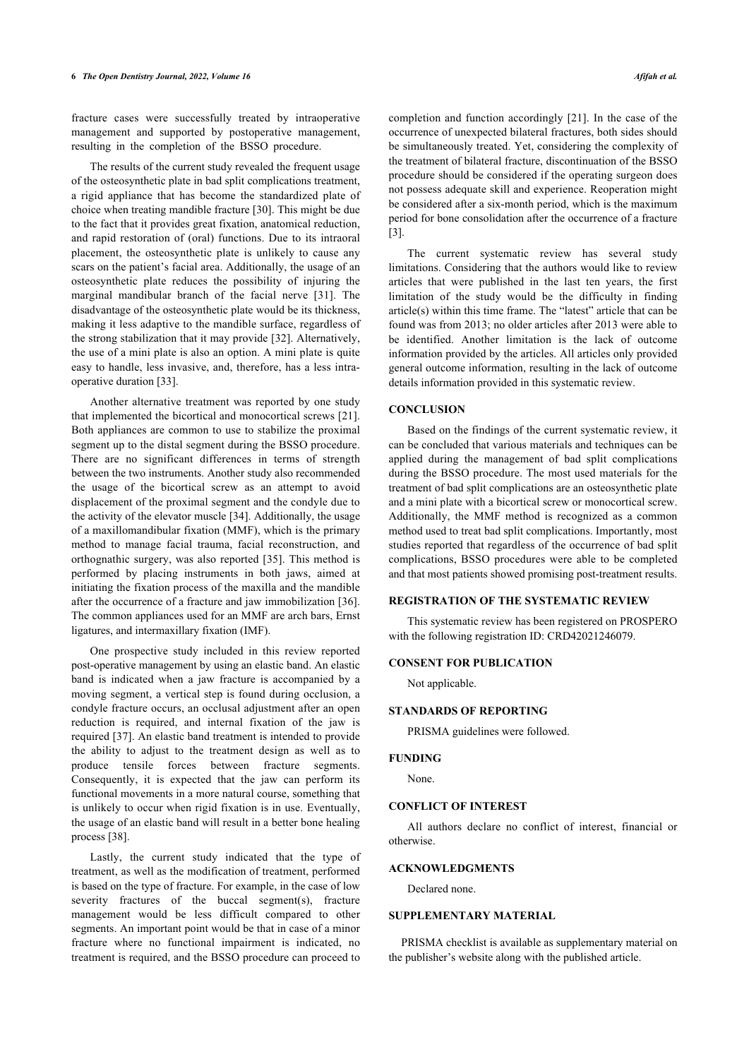fracture cases were successfully treated by intraoperative management and supported by postoperative management, resulting in the completion of the BSSO procedure.

The results of the current study revealed the frequent usage of the osteosynthetic plate in bad split complications treatment, a rigid appliance that has become the standardized plate of choice when treating mandible fracture [[30\]](#page-6-28). This might be due to the fact that it provides great fixation, anatomical reduction, and rapid restoration of (oral) functions. Due to its intraoral placement, the osteosynthetic plate is unlikely to cause any scars on the patient's facial area. Additionally, the usage of an osteosynthetic plate reduces the possibility of injuring the marginal mandibular branch of the facial nerve[[31\]](#page-6-29). The disadvantage of the osteosynthetic plate would be its thickness, making it less adaptive to the mandible surface, regardless of the strong stabilization that it may provide [[32\]](#page-6-30). Alternatively, the use of a mini plate is also an option. A mini plate is quite easy to handle, less invasive, and, therefore, has a less intraoperative duration [[33\]](#page-6-31).

Another alternative treatment was reported by one study that implemented the bicortical and monocortical screws [[21\]](#page-6-23). Both appliances are common to use to stabilize the proximal segment up to the distal segment during the BSSO procedure. There are no significant differences in terms of strength between the two instruments. Another study also recommended the usage of the bicortical screw as an attempt to avoid displacement of the proximal segment and the condyle due to the activity of the elevator muscle [\[34](#page-6-32)]. Additionally, the usage of a maxillomandibular fixation (MMF), which is the primary method to manage facial trauma, facial reconstruction, and orthognathic surgery, was also reported [\[35](#page-6-33)]. This method is performed by placing instruments in both jaws, aimed at initiating the fixation process of the maxilla and the mandible after the occurrence of a fracture and jaw immobilization [[36](#page-6-34)]. The common appliances used for an MMF are arch bars, Ernst ligatures, and intermaxillary fixation (IMF).

One prospective study included in this review reported post-operative management by using an elastic band. An elastic band is indicated when a jaw fracture is accompanied by a moving segment, a vertical step is found during occlusion, a condyle fracture occurs, an occlusal adjustment after an open reduction is required, and internal fixation of the jaw is required [[37\]](#page-6-35). An elastic band treatment is intended to provide the ability to adjust to the treatment design as well as to produce tensile forces between fracture segments. Consequently, it is expected that the jaw can perform its functional movements in a more natural course, something that is unlikely to occur when rigid fixation is in use. Eventually, the usage of an elastic band will result in a better bone healing process [[38\]](#page-7-1).

Lastly, the current study indicated that the type of treatment, as well as the modification of treatment, performed is based on the type of fracture. For example, in the case of low severity fractures of the buccal segment(s), fracture management would be less difficult compared to other segments. An important point would be that in case of a minor fracture where no functional impairment is indicated, no treatment is required, and the BSSO procedure can proceed to

completion and function accordingly [[21](#page-6-23)]. In the case of the occurrence of unexpected bilateral fractures, both sides should be simultaneously treated. Yet, considering the complexity of the treatment of bilateral fracture, discontinuation of the BSSO procedure should be considered if the operating surgeon does not possess adequate skill and experience. Reoperation might be considered after a six-month period, which is the maximum period for bone consolidation after the occurrence of a fracture [[3](#page-6-2)].

The current systematic review has several study limitations. Considering that the authors would like to review articles that were published in the last ten years, the first limitation of the study would be the difficulty in finding article(s) within this time frame. The "latest" article that can be found was from 2013; no older articles after 2013 were able to be identified. Another limitation is the lack of outcome information provided by the articles. All articles only provided general outcome information, resulting in the lack of outcome details information provided in this systematic review.

#### **CONCLUSION**

Based on the findings of the current systematic review, it can be concluded that various materials and techniques can be applied during the management of bad split complications during the BSSO procedure. The most used materials for the treatment of bad split complications are an osteosynthetic plate and a mini plate with a bicortical screw or monocortical screw. Additionally, the MMF method is recognized as a common method used to treat bad split complications. Importantly, most studies reported that regardless of the occurrence of bad split complications, BSSO procedures were able to be completed and that most patients showed promising post-treatment results.

#### **REGISTRATION OF THE SYSTEMATIC REVIEW**

This systematic review has been registered on PROSPERO with the following registration ID: CRD42021246079.

#### **CONSENT FOR PUBLICATION**

Not applicable.

### **STANDARDS OF REPORTING**

PRISMA guidelines were followed.

#### **FUNDING**

None.

#### **CONFLICT OF INTEREST**

All authors declare no conflict of interest, financial or otherwise.

#### **ACKNOWLEDGMENTS**

Declared none.

### **SUPPLEMENTARY MATERIAL**

PRISMA checklist is available as supplementary material on the publisher's website along with the published article.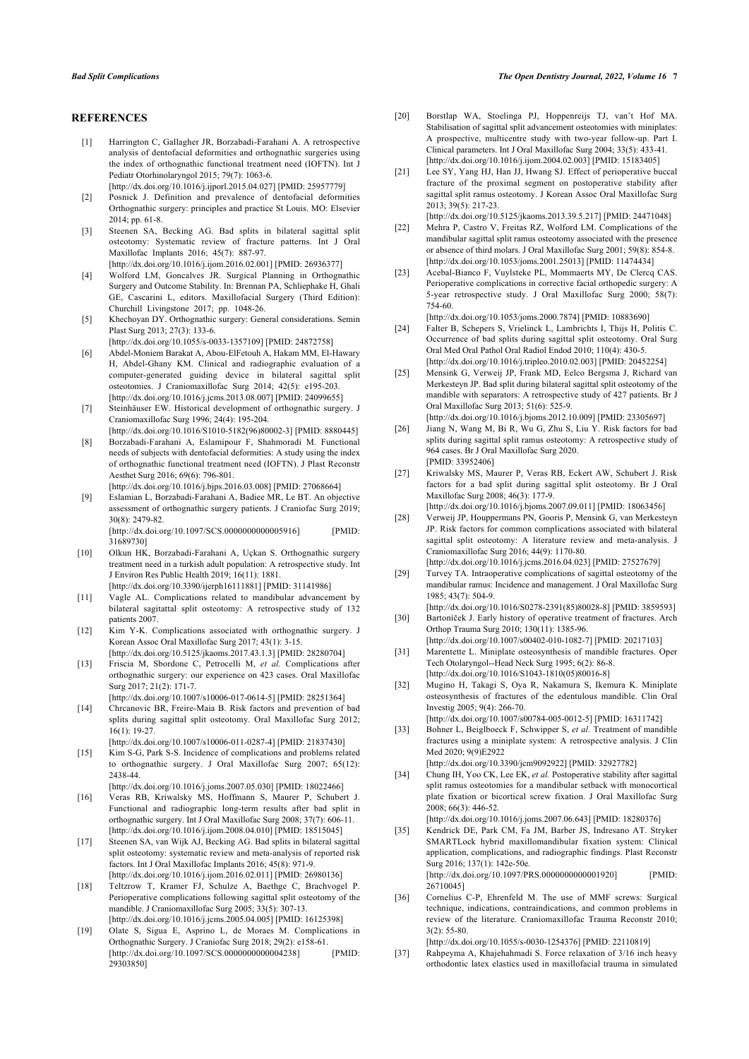#### <span id="page-6-21"></span><span id="page-6-0"></span>**REFERENCES**

[1] Harrington C, Gallagher JR, Borzabadi-Farahani A. A retrospective analysis of dentofacial deformities and orthognathic surgeries using the index of orthognathic functional treatment need (IOFTN). Int J Pediatr Otorhinolaryngol 2015; 79(7): 1063-6.

[\[http://dx.doi.org/10.1016/j.ijporl.2015.04.027\]](http://dx.doi.org/10.1016/j.ijporl.2015.04.027) [PMID: [25957779](http://www.ncbi.nlm.nih.gov/pubmed/25957779)]

- <span id="page-6-23"></span><span id="page-6-1"></span>[2] Posnick J. Definition and prevalence of dentofacial deformities Orthognathic surgery: principles and practice St Louis. MO: Elsevier 2014; pp. 61-8.
- <span id="page-6-20"></span><span id="page-6-2"></span>[3] Steenen SA, Becking AG. Bad splits in bilateral sagittal split osteotomy: Systematic review of fracture patterns. Int J Oral Maxillofac Implants 2016; 45(7): 887-97.

[\[http://dx.doi.org/10.1016/j.ijom.2016.02.001](http://dx.doi.org/10.1016/j.ijom.2016.02.001)] [PMID: [26936377](http://www.ncbi.nlm.nih.gov/pubmed/26936377)]

- <span id="page-6-19"></span><span id="page-6-3"></span>[4] Wolford LM, Goncalves JR. Surgical Planning in Orthognathic Surgery and Outcome Stability. In: Brennan PA, Schliephake H, Ghali GE, Cascarini L, editors. Maxillofacial Surgery (Third Edition): Churchill Livingstone 2017; pp. 1048-26.
- <span id="page-6-22"></span><span id="page-6-4"></span>[5] Khechoyan DY. Orthognathic surgery: General considerations. Semin Plast Surg 2013; 27(3): 133-6.

[\[http://dx.doi.org/10.1055/s-0033-1357109](http://dx.doi.org/10.1055/s-0033-1357109)] [PMID: [24872758\]](http://www.ncbi.nlm.nih.gov/pubmed/24872758)

- <span id="page-6-24"></span><span id="page-6-5"></span>[6] Abdel-Moniem Barakat A, Abou-ElFetouh A, Hakam MM, El-Hawary H, Abdel-Ghany KM. Clinical and radiographic evaluation of a computer-generated guiding device in bilateral sagittal split osteotomies. J Craniomaxillofac Surg 2014; 42(5): e195-203. [\[http://dx.doi.org/10.1016/j.jcms.2013.08.007\]](http://dx.doi.org/10.1016/j.jcms.2013.08.007) [PMID: [24099655](http://www.ncbi.nlm.nih.gov/pubmed/24099655)]
- <span id="page-6-6"></span>[7] Steinhäuser EW. Historical development of orthognathic surgery. J Craniomaxillofac Surg 1996; 24(4): 195-204.
- <span id="page-6-25"></span><span id="page-6-8"></span>[\[http://dx.doi.org/10.1016/S1010-5182\(96\)80002-3](http://dx.doi.org/10.1016/S1010-5182(96)80002-3)] [PMID: [8880445](http://www.ncbi.nlm.nih.gov/pubmed/8880445)] [8] Borzabadi-Farahani A, Eslamipour F, Shahmoradi M. Functional needs of subjects with dentofacial deformities: A study using the index of orthognathic functional treatment need (IOFTN). J Plast Reconstr
- <span id="page-6-7"></span>Aesthet Surg 2016; 69(6): 796-801. [\[http://dx.doi.org/10.1016/j.bjps.2016.03.008](http://dx.doi.org/10.1016/j.bjps.2016.03.008)] [PMID: [27068664\]](http://www.ncbi.nlm.nih.gov/pubmed/27068664) [9] Eslamian L, Borzabadi-Farahani A, Badiee MR, Le BT. An objective assessment of orthognathic surgery patients. J Craniofac Surg 2019;

30(8): 2479-82. [\[http://dx.doi.org/10.1097/SCS.0000000000005916](http://dx.doi.org/10.1097/SCS.0000000000005916)] [PMID: [31689730\]](http://www.ncbi.nlm.nih.gov/pubmed/31689730)

<span id="page-6-27"></span><span id="page-6-26"></span><span id="page-6-9"></span>[10] Olkun HK, Borzabadi-Farahani A, Uçkan S. Orthognathic surgery treatment need in a turkish adult population: A retrospective study. Int J Environ Res Public Health 2019; 16(11): 1881. [\[http://dx.doi.org/10.3390/ijerph16111881\]](http://dx.doi.org/10.3390/ijerph16111881) [PMID: [31141986](http://www.ncbi.nlm.nih.gov/pubmed/31141986)]

- <span id="page-6-10"></span>[11] Vagle AL. Complications related to mandibular advancement by bilateral sagitattal split osteotomy: A retrospective study of 132 patients 2007.
- <span id="page-6-28"></span><span id="page-6-11"></span>[12] Kim Y-K. Complications associated with orthognathic surgery. J Korean Assoc Oral Maxillofac Surg 2017; 43(1): 3-15. [\[http://dx.doi.org/10.5125/jkaoms.2017.43.1.3](http://dx.doi.org/10.5125/jkaoms.2017.43.1.3)] [PMID: [28280704](http://www.ncbi.nlm.nih.gov/pubmed/28280704)]
- <span id="page-6-30"></span><span id="page-6-29"></span><span id="page-6-12"></span>[13] Friscia M, Sbordone C, Petrocelli M, *et al.* Complications after orthognathic surgery: our experience on 423 cases. Oral Maxillofac Surg 2017; 21(2): 171-7. [\[http://dx.doi.org/10.1007/s10006-017-0614-5](http://dx.doi.org/10.1007/s10006-017-0614-5)] [PMID: [28251364\]](http://www.ncbi.nlm.nih.gov/pubmed/28251364)
- <span id="page-6-31"></span><span id="page-6-13"></span>[14] Chrcanovic BR, Freire-Maia B. Risk factors and prevention of bad splits during sagittal split osteotomy. Oral Maxillofac Surg 2012; 16(1): 19-27.

[\[http://dx.doi.org/10.1007/s10006-011-0287-4](http://dx.doi.org/10.1007/s10006-011-0287-4)] [PMID: [21837430\]](http://www.ncbi.nlm.nih.gov/pubmed/21837430)

- <span id="page-6-14"></span>[15] Kim S-G, Park S-S. Incidence of complications and problems related to orthognathic surgery. J Oral Maxillofac Surg 2007; 65(12): 2438-44.
- <span id="page-6-32"></span><span id="page-6-15"></span>[\[http://dx.doi.org/10.1016/j.joms.2007.05.030](http://dx.doi.org/10.1016/j.joms.2007.05.030)] [PMID: [18022466\]](http://www.ncbi.nlm.nih.gov/pubmed/18022466) [16] Veras RB, Kriwalsky MS, Hoffmann S, Maurer P, Schubert J. Functional and radiographic long-term results after bad split in orthognathic surgery. Int J Oral Maxillofac Surg 2008; 37(7): 606-11. [\[http://dx.doi.org/10.1016/j.ijom.2008.04.010](http://dx.doi.org/10.1016/j.ijom.2008.04.010)] [PMID: [18515045](http://www.ncbi.nlm.nih.gov/pubmed/18515045)]
- <span id="page-6-33"></span><span id="page-6-16"></span>[17] Steenen SA, van Wijk AJ, Becking AG. Bad splits in bilateral sagittal split osteotomy: systematic review and meta-analysis of reported risk factors. Int J Oral Maxillofac Implants 2016; 45(8): 971-9. [\[http://dx.doi.org/10.1016/j.ijom.2016.02.011](http://dx.doi.org/10.1016/j.ijom.2016.02.011)] [PMID: [26980136](http://www.ncbi.nlm.nih.gov/pubmed/26980136)]
- <span id="page-6-34"></span><span id="page-6-17"></span>[18] Teltzrow T, Kramer FJ, Schulze A, Baethge C, Brachvogel P. Perioperative complications following sagittal split osteotomy of the mandible. J Craniomaxillofac Surg 2005; 33(5): 307-13. [\[http://dx.doi.org/10.1016/j.jcms.2005.04.005\]](http://dx.doi.org/10.1016/j.jcms.2005.04.005) [PMID: [16125398](http://www.ncbi.nlm.nih.gov/pubmed/16125398)]
- <span id="page-6-35"></span><span id="page-6-18"></span>[19] Olate S, Sigua E, Asprino L, de Moraes M. Complications in Orthognathic Surgery. J Craniofac Surg 2018; 29(2): e158-61. [\[http://dx.doi.org/10.1097/SCS.0000000000004238](http://dx.doi.org/10.1097/SCS.0000000000004238)] [PMID: [29303850\]](http://www.ncbi.nlm.nih.gov/pubmed/29303850)
- [20] Borstlap WA, Stoelinga PJ, Hoppenreijs TJ, van't Hof MA. Stabilisation of sagittal split advancement osteotomies with miniplates: A prospective, multicentre study with two-year follow-up. Part I. Clinical parameters. Int J Oral Maxillofac Surg 2004; 33(5): 433-41. [\[http://dx.doi.org/10.1016/j.ijom.2004.02.003\]](http://dx.doi.org/10.1016/j.ijom.2004.02.003) [PMID: [15183405](http://www.ncbi.nlm.nih.gov/pubmed/15183405)]
- [21] Lee SY, Yang HJ, Han JJ, Hwang SJ. Effect of perioperative buccal fracture of the proximal segment on postoperative stability after sagittal split ramus osteotomy. J Korean Assoc Oral Maxillofac Surg 2013; 39(5): 217-23. [\[http://dx.doi.org/10.5125/jkaoms.2013.39.5.217\]](http://dx.doi.org/10.5125/jkaoms.2013.39.5.217) [PMID: [24471048](http://www.ncbi.nlm.nih.gov/pubmed/24471048)]
- [22] Mehra P, Castro V, Freitas RZ, Wolford LM. Complications of the mandibular sagittal split ramus osteotomy associated with the presence or absence of third molars. J Oral Maxillofac Surg 2001; 59(8): 854-8. [\[http://dx.doi.org/10.1053/joms.2001.25013](http://dx.doi.org/10.1053/joms.2001.25013)] [PMID: [11474434\]](http://www.ncbi.nlm.nih.gov/pubmed/11474434)
- [23] Acebal-Bianco F, Vuylsteke PL, Mommaerts MY, De Clercq CAS. Perioperative complications in corrective facial orthopedic surgery: A 5-year retrospective study. J Oral Maxillofac Surg 2000; 58(7): 754-60.

[\[http://dx.doi.org/10.1053/joms.2000.7874\]](http://dx.doi.org/10.1053/joms.2000.7874) [PMID: [10883690](http://www.ncbi.nlm.nih.gov/pubmed/10883690)]

- [24] Falter B, Schepers S, Vrielinck L, Lambrichts I, Thijs H, Politis C. Occurrence of bad splits during sagittal split osteotomy. Oral Surg Oral Med Oral Pathol Oral Radiol Endod 2010; 110(4): 430-5. [\[http://dx.doi.org/10.1016/j.tripleo.2010.02.003](http://dx.doi.org/10.1016/j.tripleo.2010.02.003)] [PMID: [20452254\]](http://www.ncbi.nlm.nih.gov/pubmed/20452254)
- [25] Mensink G, Verweij JP, Frank MD, Eelco Bergsma J, Richard van Merkesteyn JP. Bad split during bilateral sagittal split osteotomy of the mandible with separators: A retrospective study of 427 patients. Br J Oral Maxillofac Surg 2013; 51(6): 525-9. [\[http://dx.doi.org/10.1016/j.bjoms.2012.10.009](http://dx.doi.org/10.1016/j.bjoms.2012.10.009)] [PMID: [23305697\]](http://www.ncbi.nlm.nih.gov/pubmed/23305697)
- [26] Jiang N, Wang M, Bi R, Wu G, Zhu S, Liu Y. Risk factors for bad splits during sagittal split ramus osteotomy: A retrospective study of 964 cases. Br J Oral Maxillofac Surg 2020. [PMID: [33952406\]](http://www.ncbi.nlm.nih.gov/pubmed/33952406)
- [27] Kriwalsky MS, Maurer P, Veras RB, Eckert AW, Schubert J. Risk factors for a bad split during sagittal split osteotomy. Br J Oral Maxillofac Surg 2008; 46(3): 177-9.
- [\[http://dx.doi.org/10.1016/j.bjoms.2007.09.011](http://dx.doi.org/10.1016/j.bjoms.2007.09.011)] [PMID: [18063456\]](http://www.ncbi.nlm.nih.gov/pubmed/18063456)
- [28] Verweij JP, Houppermans PN, Gooris P, Mensink G, van Merkesteyn JP. Risk factors for common complications associated with bilateral sagittal split osteotomy: A literature review and meta-analysis. J Craniomaxillofac Surg 2016; 44(9): 1170-80.
- [\[http://dx.doi.org/10.1016/j.jcms.2016.04.023](http://dx.doi.org/10.1016/j.jcms.2016.04.023)] [PMID: [27527679\]](http://www.ncbi.nlm.nih.gov/pubmed/27527679) [29] Turvey TA. Intraoperative complications of sagittal osteotomy of the mandibular ramus: Incidence and management. J Oral Maxillofac Surg
- 1985; 43(7): 504-9. [\[http://dx.doi.org/10.1016/S0278-2391\(85\)80028-8\]](http://dx.doi.org/10.1016/S0278-2391(85)80028-8) [PMID: [3859593\]](http://www.ncbi.nlm.nih.gov/pubmed/3859593) [30] Bartoníček J. Early history of operative treatment of fractures. Arch
- Orthop Trauma Surg 2010; 130(11): 1385-96. [\[http://dx.doi.org/10.1007/s00402-010-1082-7\]](http://dx.doi.org/10.1007/s00402-010-1082-7) [PMID: [20217103](http://www.ncbi.nlm.nih.gov/pubmed/20217103)]
- [31] Marentette L. Miniplate osteosynthesis of mandible fractures. Oper Tech Otolaryngol--Head Neck Surg 1995; 6(2): 86-8. [\[http://dx.doi.org/10.1016/S1043-1810\(05\)80016-8\]](http://dx.doi.org/10.1016/S1043-1810(05)80016-8)
- [32] Mugino H, Takagi S, Oya R, Nakamura S, Ikemura K. Miniplate osteosynthesis of fractures of the edentulous mandible. Clin Oral Investig 2005; 9(4): 266-70.

[\[http://dx.doi.org/10.1007/s00784-005-0012-5\]](http://dx.doi.org/10.1007/s00784-005-0012-5) [PMID: [16311742](http://www.ncbi.nlm.nih.gov/pubmed/16311742)]

[33] Bohner L, Beiglboeck F, Schwipper S, et al. Treatment of mandible fractures using a miniplate system: A retrospective analysis. J Clin Med 2020; 9(9)E2922 [\[http://dx.doi.org/10.3390/jcm9092922](http://dx.doi.org/10.3390/jcm9092922)] [PMID: [32927782](http://www.ncbi.nlm.nih.gov/pubmed/32927782)]

[34] Chung IH, Yoo CK, Lee EK, *et al.* Postoperative stability after sagittal split ramus osteotomies for a mandibular setback with monocortical

- plate fixation or bicortical screw fixation. J Oral Maxillofac Surg 2008; 66(3): 446-52. [\[http://dx.doi.org/10.1016/j.joms.2007.06.643\]](http://dx.doi.org/10.1016/j.joms.2007.06.643) [PMID: [18280376](http://www.ncbi.nlm.nih.gov/pubmed/18280376)]
- [35] Kendrick DE, Park CM, Fa JM, Barber JS, Indresano AT. Stryker SMARTLock hybrid maxillomandibular fixation system: Clinical application, complications, and radiographic findings. Plast Reconstr Surg 2016; 137(1): 142e-50e. [\[http://dx.doi.org/10.1097/PRS.0000000000001920](http://dx.doi.org/10.1097/PRS.0000000000001920)] [PMID: [26710045\]](http://www.ncbi.nlm.nih.gov/pubmed/26710045)
- [36] Cornelius C-P, Ehrenfeld M. The use of MMF screws: Surgical technique, indications, contraindications, and common problems in review of the literature. Craniomaxillofac Trauma Reconstr 2010; 3(2): 55-80.

[\[http://dx.doi.org/10.1055/s-0030-1254376](http://dx.doi.org/10.1055/s-0030-1254376)] [PMID: [22110819\]](http://www.ncbi.nlm.nih.gov/pubmed/22110819)

[37] Rahpeyma A, Khajehahmadi S. Force relaxation of 3/16 inch heavy orthodontic latex elastics used in maxillofacial trauma in simulated